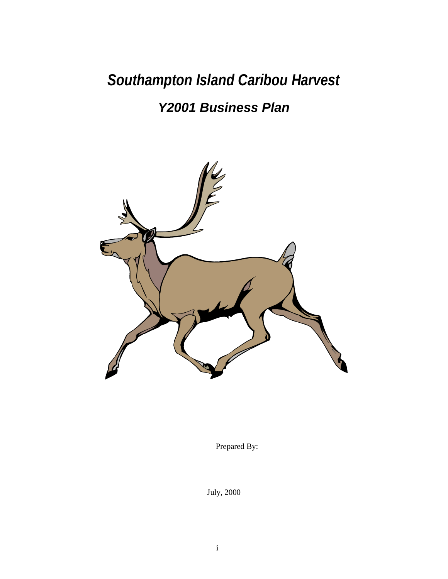*Southampton Island Caribou Harvest*

# *Y2001 Business Plan*



Prepared By:

July, 2000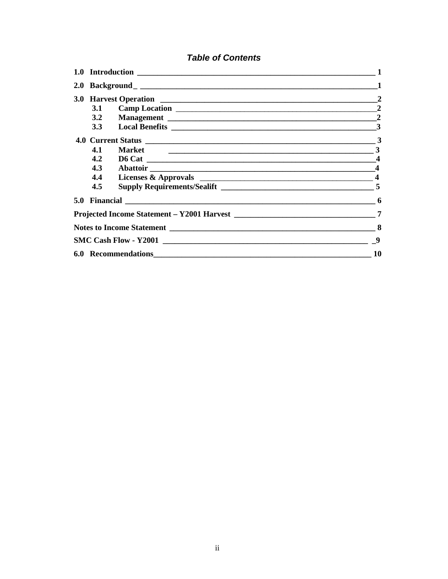# **Table of Contents**

|     |                    | $\overline{2}$          |  |  |  |  |  |
|-----|--------------------|-------------------------|--|--|--|--|--|
|     |                    |                         |  |  |  |  |  |
|     |                    |                         |  |  |  |  |  |
|     |                    | 3                       |  |  |  |  |  |
| 4.1 | 3<br><b>Market</b> |                         |  |  |  |  |  |
| 4.2 |                    |                         |  |  |  |  |  |
| 4.3 |                    | $\boldsymbol{4}$        |  |  |  |  |  |
| 4.4 |                    | $\overline{\mathbf{4}}$ |  |  |  |  |  |
| 4.5 |                    |                         |  |  |  |  |  |
|     |                    | 6                       |  |  |  |  |  |
|     |                    | 7                       |  |  |  |  |  |
|     |                    | 8                       |  |  |  |  |  |
|     |                    | -9                      |  |  |  |  |  |
| 10  |                    |                         |  |  |  |  |  |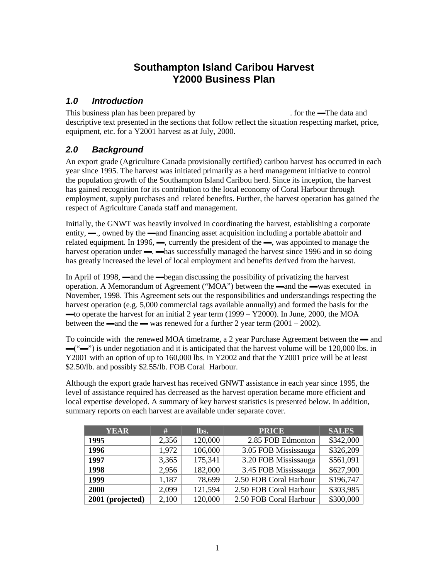# **Southampton Island Caribou Harvest Y2000 Business Plan**

### *1.0 Introduction*

This business plan has been prepared by The Associates Left. for the —The data and descriptive text presented in the sections that follow reflect the situation respecting market, price, equipment, etc. for a Y2001 harvest as at July, 2000.

# *2.0 Background*

An export grade (Agriculture Canada provisionally certified) caribou harvest has occurred in each year since 1995. The harvest was initiated primarily as a herd management initiative to control the population growth of the Southampton Island Caribou herd. Since its inception, the harvest has gained recognition for its contribution to the local economy of Coral Harbour through employment, supply purchases and related benefits. Further, the harvest operation has gained the respect of Agriculture Canada staff and management.

Initially, the GNWT was heavily involved in coordinating the harvest, establishing a corporate entity, —, owned by the —and financing asset acquisition including a portable abattoir and related equipment. In 1996, —, currently the president of the —, was appointed to manage the harvest operation under —  $\rightarrow$  has successfully managed the harvest since 1996 and in so doing has greatly increased the level of local employment and benefits derived from the harvest.

In April of 1998, —and the —began discussing the possibility of privatizing the harvest operation. A Memorandum of Agreement ("MOA") between the —and the —was executed in November, 1998. This Agreement sets out the responsibilities and understandings respecting the harvest operation (e.g. 5,000 commercial tags available annually) and formed the basis for the ▬to operate the harvest for an initial 2 year term (1999 – Y2000). In June, 2000, the MOA between the —and the — was renewed for a further 2 year term  $(2001 - 2002)$ .

To coincide with the renewed MOA timeframe, a 2 year Purchase Agreement between the — and ▬("▬") is under negotiation and it is anticipated that the harvest volume will be 120,000 lbs. in Y2001 with an option of up to 160,000 lbs. in Y2002 and that the Y2001 price will be at least \$2.50/lb. and possibly \$2.55/lb. FOB Coral Harbour.

Although the export grade harvest has received GNWT assistance in each year since 1995, the level of assistance required has decreased as the harvest operation became more efficient and local expertise developed. A summary of key harvest statistics is presented below. In addition, summary reports on each harvest are available under separate cover.

| <b>YEAR</b>      | #     | lbs.    | <b>PRICE</b>           | <b>SALES</b> |
|------------------|-------|---------|------------------------|--------------|
| 1995             | 2,356 | 120,000 | 2.85 FOB Edmonton      | \$342,000    |
| 1996             | 1,972 | 106,000 | 3.05 FOB Mississauga   | \$326,209    |
| 1997             | 3,365 | 175,341 | 3.20 FOB Mississauga   | \$561,091    |
| 1998             | 2,956 | 182,000 | 3.45 FOB Mississauga   | \$627,900    |
| 1999             | 1,187 | 78,699  | 2.50 FOB Coral Harbour | \$196,747    |
| 2000             | 2,099 | 121,594 | 2.50 FOB Coral Harbour | \$303,985    |
| 2001 (projected) | 2,100 | 120,000 | 2.50 FOB Coral Harbour | \$300,000    |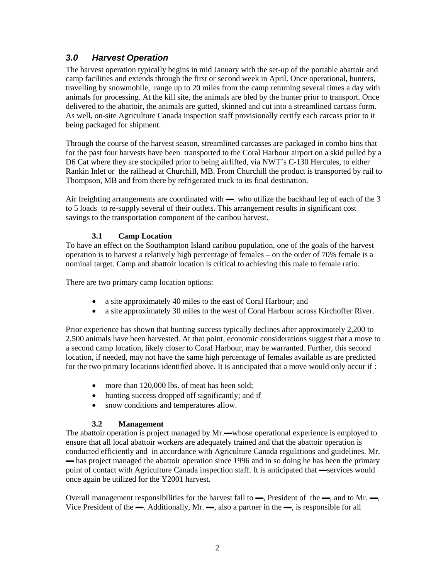# *3.0 Harvest Operation*

The harvest operation typically begins in mid January with the set-up of the portable abattoir and camp facilities and extends through the first or second week in April. Once operational, hunters, travelling by snowmobile, range up to 20 miles from the camp returning several times a day with animals for processing. At the kill site, the animals are bled by the hunter prior to transport. Once delivered to the abattoir, the animals are gutted, skinned and cut into a streamlined carcass form. As well, on-site Agriculture Canada inspection staff provisionally certify each carcass prior to it being packaged for shipment.

Through the course of the harvest season, streamlined carcasses are packaged in combo bins that for the past four harvests have been transported to the Coral Harbour airport on a skid pulled by a D6 Cat where they are stockpiled prior to being airlifted, via NWT's C-130 Hercules, to either Rankin Inlet or the railhead at Churchill, MB. From Churchill the product is transported by rail to Thompson, MB and from there by refrigerated truck to its final destination.

Air freighting arrangements are coordinated with —. who utilize the backhaul leg of each of the 3 to 5 loads to re-supply several of their outlets. This arrangement results in significant cost savings to the transportation component of the caribou harvest.

#### **3.1 Camp Location**

To have an effect on the Southampton Island caribou population, one of the goals of the harvest operation is to harvest a relatively high percentage of females – on the order of 70% female is a nominal target. Camp and abattoir location is critical to achieving this male to female ratio.

There are two primary camp location options:

- a site approximately 40 miles to the east of Coral Harbour; and
- a site approximately 30 miles to the west of Coral Harbour across Kirchoffer River.

Prior experience has shown that hunting success typically declines after approximately 2,200 to 2,500 animals have been harvested. At that point, economic considerations suggest that a move to a second camp location, likely closer to Coral Harbour, may be warranted. Further, this second location, if needed, may not have the same high percentage of females available as are predicted for the two primary locations identified above. It is anticipated that a move would only occur if :

- more than 120,000 lbs. of meat has been sold;
- hunting success dropped off significantly; and if
- snow conditions and temperatures allow.

#### **3.2 Management**

The abattoir operation is project managed by Mr.—whose operational experience is employed to ensure that all local abattoir workers are adequately trained and that the abattoir operation is conducted efficiently and in accordance with Agriculture Canada regulations and guidelines. Mr.  $\rightarrow$  has project managed the abattoir operation since 1996 and in so doing he has been the primary point of contact with Agriculture Canada inspection staff. It is anticipated that —services would once again be utilized for the Y2001 harvest.

Overall management responsibilities for the harvest fall to ▬, President of the ▬, and to Mr. ▬, Vice President of the  $\rightarrow$ . Additionally, Mr.  $\rightarrow$ , also a partner in the  $\rightarrow$ , is responsible for all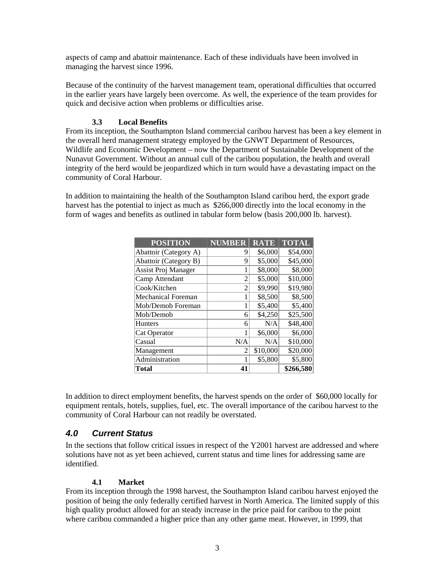aspects of camp and abattoir maintenance. Each of these individuals have been involved in managing the harvest since 1996.

Because of the continuity of the harvest management team, operational difficulties that occurred in the earlier years have largely been overcome. As well, the experience of the team provides for quick and decisive action when problems or difficulties arise.

#### **3.3 Local Benefits**

From its inception, the Southampton Island commercial caribou harvest has been a key element in the overall herd management strategy employed by the GNWT Department of Resources, Wildlife and Economic Development – now the Department of Sustainable Development of the Nunavut Government. Without an annual cull of the caribou population, the health and overall integrity of the herd would be jeopardized which in turn would have a devastating impact on the community of Coral Harbour.

In addition to maintaining the health of the Southampton Island caribou herd, the export grade harvest has the potential to inject as much as \$266,000 directly into the local economy in the form of wages and benefits as outlined in tabular form below (basis 200,000 lb. harvest).

| <b>POSITION</b>           | <b>NUMBER</b>  | <b>RATE</b> | <b>TOTAL</b> |
|---------------------------|----------------|-------------|--------------|
| Abattoir (Category A)     | 9              | \$6,000     | \$54,000     |
| Abattoir (Category B)     | 9              | \$5,000     | \$45,000     |
| Assist Proj Manager       |                | \$8,000     | \$8,000      |
| Camp Attendant            | $\mathfrak{D}$ | \$5,000     | \$10,000     |
| Cook/Kitchen              | $\mathfrak{D}$ | \$9,990     | \$19,980     |
| <b>Mechanical Foreman</b> | 1              | \$8,500     | \$8,500      |
| Mob/Demob Foreman         |                | \$5,400     | \$5,400      |
| Mob/Demob                 | 6              | \$4,250     | \$25,500     |
| <b>Hunters</b>            | 6              | N/A         | \$48,400     |
| Cat Operator              | 1              | \$6,000     | \$6,000      |
| Casual                    | N/A            | N/A         | \$10,000     |
| Management                | $\mathfrak{D}$ | \$10,000    | \$20,000     |
| Administration            | 1              | \$5,800     | \$5,800      |
| Total                     | 41             |             | \$266,580    |

In addition to direct employment benefits, the harvest spends on the order of \$60,000 locally for equipment rentals, hotels, supplies, fuel, etc. The overall importance of the caribou harvest to the community of Coral Harbour can not readily be overstated.

#### *4.0 Current Status*

In the sections that follow critical issues in respect of the Y2001 harvest are addressed and where solutions have not as yet been achieved, current status and time lines for addressing same are identified.

#### **4.1 Market**

From its inception through the 1998 harvest, the Southampton Island caribou harvest enjoyed the position of being the only federally certified harvest in North America. The limited supply of this high quality product allowed for an steady increase in the price paid for caribou to the point where caribou commanded a higher price than any other game meat. However, in 1999, that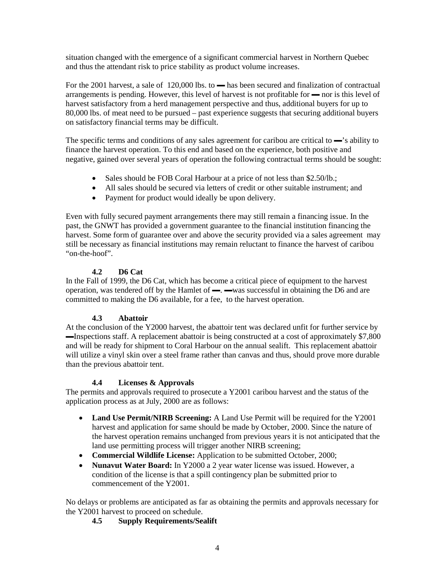situation changed with the emergence of a significant commercial harvest in Northern Quebec and thus the attendant risk to price stability as product volume increases.

For the 2001 harvest, a sale of 120,000 lbs. to — has been secured and finalization of contractual arrangements is pending. However, this level of harvest is not profitable for ▬ nor is this level of harvest satisfactory from a herd management perspective and thus, additional buyers for up to 80,000 lbs. of meat need to be pursued – past experience suggests that securing additional buyers on satisfactory financial terms may be difficult.

The specific terms and conditions of any sales agreement for caribou are critical to —'s ability to finance the harvest operation. To this end and based on the experience, both positive and negative, gained over several years of operation the following contractual terms should be sought:

- Sales should be FOB Coral Harbour at a price of not less than \$2.50/lb.;
- All sales should be secured via letters of credit or other suitable instrument; and
- Payment for product would ideally be upon delivery.

Even with fully secured payment arrangements there may still remain a financing issue. In the past, the GNWT has provided a government guarantee to the financial institution financing the harvest. Some form of guarantee over and above the security provided via a sales agreement may still be necessary as financial institutions may remain reluctant to finance the harvest of caribou "on-the-hoof".

#### **4.2 D6 Cat**

In the Fall of 1999, the D6 Cat, which has become a critical piece of equipment to the harvest operation, was tendered off by the Hamlet of  $\rightarrow$   $\rightarrow$  was successful in obtaining the D6 and are committed to making the D6 available, for a fee, to the harvest operation.

#### **4.3 Abattoir**

At the conclusion of the Y2000 harvest, the abattoir tent was declared unfit for further service by <del>■Inspections staff.</del> A replacement abattoir is being constructed at a cost of approximately \$7,800 and will be ready for shipment to Coral Harbour on the annual sealift. This replacement abattoir will utilize a vinyl skin over a steel frame rather than canvas and thus, should prove more durable than the previous abattoir tent.

#### **4.4 Licenses & Approvals**

The permits and approvals required to prosecute a Y2001 caribou harvest and the status of the application process as at July, 2000 are as follows:

- **Land Use Permit/NIRB Screening:** A Land Use Permit will be required for the Y2001 harvest and application for same should be made by October, 2000. Since the nature of the harvest operation remains unchanged from previous years it is not anticipated that the land use permitting process will trigger another NIRB screening;
- **Commercial Wildlife License:** Application to be submitted October, 2000;
- **Nunavut Water Board:** In Y2000 a 2 year water license was issued. However, a condition of the license is that a spill contingency plan be submitted prior to commencement of the Y2001.

No delays or problems are anticipated as far as obtaining the permits and approvals necessary for the Y2001 harvest to proceed on schedule.

#### **4.5 Supply Requirements/Sealift**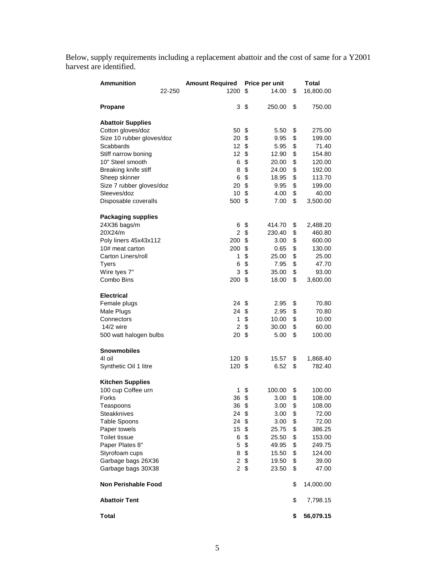Below, supply requirements including a replacement abattoir and the cost of same for a Y2001 harvest are identified.

| <b>Ammunition</b>          | <b>Amount Required</b> | Price per unit        | Total           |  |
|----------------------------|------------------------|-----------------------|-----------------|--|
| 22-250                     | 1200                   | \$<br>14.00           | \$<br>16,800.00 |  |
| Propane                    | 3                      | \$<br>250.00          | \$<br>750.00    |  |
| <b>Abattoir Supplies</b>   |                        |                       |                 |  |
| Cotton gloves/doz          | 50                     | \$<br>5.50            | \$<br>275.00    |  |
| Size 10 rubber gloves/doz  | 20                     | \$<br>9.95            | \$<br>199.00    |  |
| Scabbards                  | 12                     | \$<br>5.95            | \$<br>71.40     |  |
| Stiff narrow boning        | 12 <sup>2</sup>        | \$<br>12.90           | \$<br>154.80    |  |
| 10" Steel smooth           | 6                      | \$<br>20.00           | \$<br>120.00    |  |
| Breaking knife stiff       | 8                      | \$<br>24.00           | \$<br>192.00    |  |
| Sheep skinner              | 6                      | \$<br>18.95           | \$<br>113.70    |  |
| Size 7 rubber gloves/doz   | 20                     | \$<br>9.95            | \$<br>199.00    |  |
| Sleeves/doz                | 10                     | \$<br>4.00            | \$<br>40.00     |  |
| Disposable coveralls       | 500                    | \$<br>7.00            | \$<br>3,500.00  |  |
| <b>Packaging supplies</b>  |                        |                       |                 |  |
| 24X36 bags/m               | 6                      | \$<br>414.70          | \$<br>2,488.20  |  |
| 20X24/m                    | $\overline{2}$         | \$<br>230.40          | \$<br>460.80    |  |
| Poly liners 45x43x112      | 200                    | \$<br>3.00            | \$<br>600.00    |  |
| 10# meat carton            | 200                    | \$<br>0.65            | \$<br>130.00    |  |
| Carton Liners/roll         | 1                      | \$<br>25.00           | \$<br>25.00     |  |
| <b>Tyers</b>               | 6                      | \$<br>7.95            | \$<br>47.70     |  |
| Wire tyes 7"               | 3                      | \$<br>35.00           | \$<br>93.00     |  |
| Combo Bins                 | 200                    | \$<br>18.00           | \$<br>3,600.00  |  |
| <b>Electrical</b>          |                        |                       |                 |  |
| Female plugs               | 24                     | \$<br>2.95            | \$<br>70.80     |  |
| Male Plugs                 | 24                     | \$<br>2.95            | \$<br>70.80     |  |
| Connectors                 | 1                      | \$<br>10.00           | \$<br>10.00     |  |
| $14/2$ wire                | $\overline{c}$         | \$<br>30.00           | \$<br>60.00     |  |
| 500 watt halogen bulbs     | 20                     | \$<br>5.00            | \$<br>100.00    |  |
| <b>Snowmobiles</b>         |                        |                       |                 |  |
| 4I oil                     | 120                    | \$<br>15.57           | \$<br>1,868.40  |  |
| Synthetic Oil 1 litre      | 120                    | \$<br>6.52            | \$<br>782.40    |  |
| <b>Kitchen Supplies</b>    |                        |                       |                 |  |
| 100 cup Coffee urn         | 1                      | \$<br>100.00          | \$<br>100.00    |  |
| Forks                      | 36                     | \$<br>3.00            | \$<br>108.00    |  |
| Teaspoons                  | 36                     | \$<br>3.00            | \$<br>108.00    |  |
| Steakknives                | 24 \$                  | 3.00                  | \$<br>72.00     |  |
| <b>Table Spoons</b>        | 24 \$                  | 3.00                  | \$<br>72.00     |  |
| Paper towels               | 15 \$                  | 25.75                 | \$<br>386.25    |  |
| Toilet tissue              |                        | 6 \$<br>25.50         | \$<br>153.00    |  |
| Paper Plates 8"            |                        | $5\sqrt{3}$<br>49.95  | \$<br>249.75    |  |
| Styrofoam cups             | 8                      | \$<br>15.50           | \$<br>124.00    |  |
| Garbage bags 26X36         |                        | $2 \sqrt{3}$<br>19.50 | \$<br>39.00     |  |
| Garbage bags 30X38         | $\overline{2}$         | \$<br>23.50           | \$<br>47.00     |  |
| <b>Non Perishable Food</b> |                        |                       | \$<br>14,000.00 |  |
| <b>Abattoir Tent</b>       |                        |                       | \$<br>7,798.15  |  |
| <b>Total</b>               |                        |                       | \$<br>56,079.15 |  |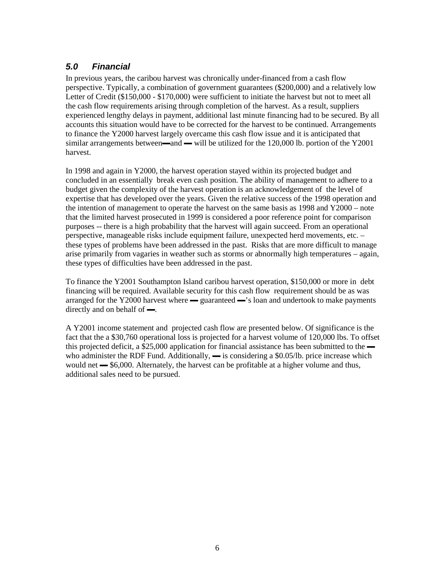# *5.0 Financial*

In previous years, the caribou harvest was chronically under-financed from a cash flow perspective. Typically, a combination of government guarantees (\$200,000) and a relatively low Letter of Credit (\$150,000 - \$170,000) were sufficient to initiate the harvest but not to meet all the cash flow requirements arising through completion of the harvest. As a result, suppliers experienced lengthy delays in payment, additional last minute financing had to be secured. By all accounts this situation would have to be corrected for the harvest to be continued. Arrangements to finance the Y2000 harvest largely overcame this cash flow issue and it is anticipated that similar arrangements between $\rightarrow$ and  $\rightarrow$  will be utilized for the 120,000 lb. portion of the Y2001 harvest.

In 1998 and again in Y2000, the harvest operation stayed within its projected budget and concluded in an essentially break even cash position. The ability of management to adhere to a budget given the complexity of the harvest operation is an acknowledgement of the level of expertise that has developed over the years. Given the relative success of the 1998 operation and the intention of management to operate the harvest on the same basis as 1998 and Y2000 – note that the limited harvest prosecuted in 1999 is considered a poor reference point for comparison purposes -- there is a high probability that the harvest will again succeed. From an operational perspective, manageable risks include equipment failure, unexpected herd movements, etc. – these types of problems have been addressed in the past. Risks that are more difficult to manage arise primarily from vagaries in weather such as storms or abnormally high temperatures – again, these types of difficulties have been addressed in the past.

To finance the Y2001 Southampton Island caribou harvest operation, \$150,000 or more in debt financing will be required. Available security for this cash flow requirement should be as was arranged for the Y2000 harvest where  $\frac{1}{\sqrt{2}}$  guaranteed  $\frac{1}{\sqrt{2}}$  loan and undertook to make payments directly and on behalf of —.

A Y2001 income statement and projected cash flow are presented below. Of significance is the fact that the a \$30,760 operational loss is projected for a harvest volume of 120,000 lbs. To offset this projected deficit, a  $$25,000$  application for financial assistance has been submitted to the  $\blacksquare$ who administer the RDF Fund. Additionally,  $\rightarrow$  is considering a \$0.05/lb. price increase which would net  $\frac{1}{\sqrt{6}}$  \$6,000. Alternately, the harvest can be profitable at a higher volume and thus, additional sales need to be pursued.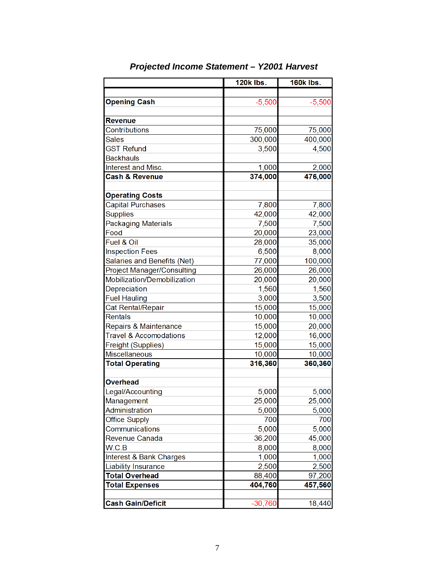|                                   | <b>120k lbs.</b> | <b>160k lbs.</b> |  |  |
|-----------------------------------|------------------|------------------|--|--|
|                                   |                  |                  |  |  |
| <b>Opening Cash</b>               | $-5,500$         | $-5,500$         |  |  |
|                                   |                  |                  |  |  |
| <b>Revenue</b>                    |                  |                  |  |  |
| Contributions                     | 75,000           | 75,000           |  |  |
| <b>Sales</b>                      | 300,000          | 400,000          |  |  |
| <b>GST Refund</b>                 | 3,500            | 4,500            |  |  |
| <b>Backhauls</b>                  |                  |                  |  |  |
| Interest and Misc.                | 1,000            | 2,000            |  |  |
| <b>Cash &amp; Revenue</b>         | 374,000          | 476,000          |  |  |
|                                   |                  |                  |  |  |
| <b>Operating Costs</b>            |                  |                  |  |  |
| <b>Capital Purchases</b>          | 7,800            | 7,800            |  |  |
| <b>Supplies</b>                   | 42,000           | 42,000           |  |  |
| <b>Packaging Materials</b>        | 7,500            | 7,500            |  |  |
| Food                              | 20,000           | 23,000           |  |  |
| Fuel & Oil                        | 28,000           | 35,000           |  |  |
| <b>Inspection Fees</b>            | 6,500            | 8,000            |  |  |
| Salaries and Benefits (Net)       | 77,000           | 100,000          |  |  |
| <b>Project Manager/Consulting</b> | 26,000           | 26,000           |  |  |
| Mobilization/Demobilization       | 20,000           | 20,000           |  |  |
| Depreciation                      | 1,560            | 1,560            |  |  |
| <b>Fuel Hauling</b>               | 3,000            | 3,500            |  |  |
| Cat Rental/Repair                 | 15,000           | 15,000           |  |  |
| <b>Rentals</b>                    | 10,000           | 10,000           |  |  |
| Repairs & Maintenance             | 15,000           | 20,000           |  |  |
| <b>Travel &amp; Accomodations</b> | 12,000           | 16,000           |  |  |
| Freight (Supplies)                | 15,000           | 15,000           |  |  |
| Miscellaneous                     | 10,000           | 10,000           |  |  |
| <b>Total Operating</b>            | 316,360          | 360,360          |  |  |
| <b>Overhead</b>                   |                  |                  |  |  |
| Legal/Accounting                  | 5,000            | 5,000            |  |  |
| Management                        | 25,000           | 25,000           |  |  |
| Administration                    | 5,000            | 5,000            |  |  |
| <b>Office Supply</b>              | 700              | 700              |  |  |
| Communications                    | 5,000            | 5,000            |  |  |
| Revenue Canada                    | 36,200           | 45,000           |  |  |
| W.C.B                             | 8,000            | 8,000            |  |  |
| Interest & Bank Charges           | 1,000            | 1,000            |  |  |
| <b>Liability Insurance</b>        | 2,500            | 2,500            |  |  |
| <b>Total Overhead</b>             | 88,400           | 97,200           |  |  |
| <b>Total Expenses</b>             | 404,760          | 457,560          |  |  |
|                                   |                  |                  |  |  |
| <b>Cash Gain/Deficit</b>          | $-30,760$        | 18,440           |  |  |
|                                   |                  |                  |  |  |

# Projected Income Statement - Y2001 Harvest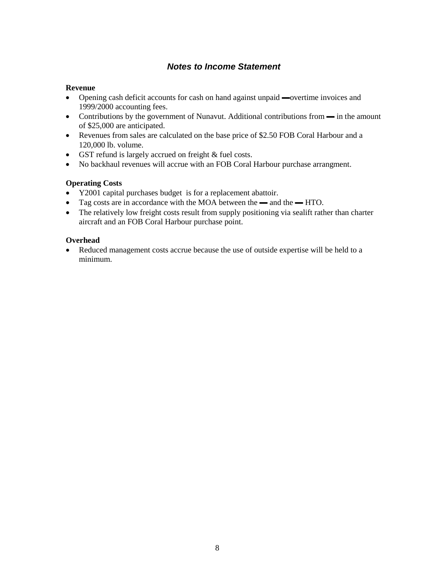# *Notes to Income Statement*

#### **Revenue**

- Opening cash deficit accounts for cash on hand against unpaid —overtime invoices and 1999/2000 accounting fees.
- Contributions by the government of Nunavut. Additional contributions from in the amount of \$25,000 are anticipated.
- Revenues from sales are calculated on the base price of \$2.50 FOB Coral Harbour and a 120,000 lb. volume.
- GST refund is largely accrued on freight & fuel costs.
- No backhaul revenues will accrue with an FOB Coral Harbour purchase arrangment.

#### **Operating Costs**

- Y2001 capital purchases budget is for a replacement abattoir.
- Tag costs are in accordance with the MOA between the and the HTO.
- The relatively low freight costs result from supply positioning via sealift rather than charter aircraft and an FOB Coral Harbour purchase point.

#### **Overhead**

• Reduced management costs accrue because the use of outside expertise will be held to a minimum.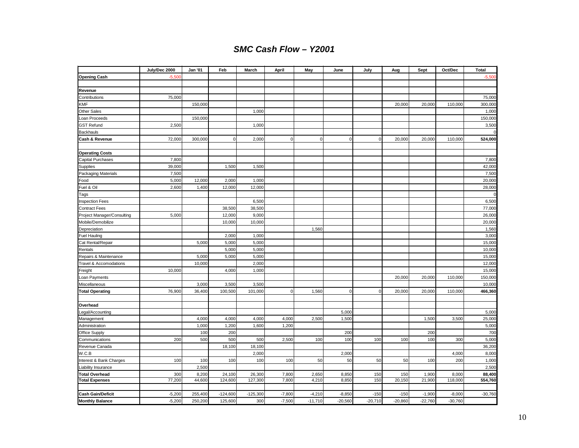# *SMC Cash Flow – Y2001*

|                                   | July/Dec 2000 | Jan '01 | Feb         | March      | April       | May         | June      | July        | Aug       | Sept      | Oct/Dec   | <b>Total</b>     |
|-----------------------------------|---------------|---------|-------------|------------|-------------|-------------|-----------|-------------|-----------|-----------|-----------|------------------|
| <b>Opening Cash</b>               | $-5,500$      |         |             |            |             |             |           |             |           |           |           | $-5,500$         |
|                                   |               |         |             |            |             |             |           |             |           |           |           |                  |
| Revenue                           |               |         |             |            |             |             |           |             |           |           |           |                  |
| Contributions                     | 75,000        |         |             |            |             |             |           |             |           |           |           | 75,000           |
| KMF                               |               | 150,000 |             |            |             |             |           |             | 20,000    | 20,000    | 110,000   | 300,000          |
| Other Sales                       |               |         |             | 1,000      |             |             |           |             |           |           |           | 1,000            |
| Loan Proceeds                     |               | 150,000 |             |            |             |             |           |             |           |           |           | 150,000          |
| <b>GST Refund</b>                 | 2,500         |         |             | 1,000      |             |             |           |             |           |           |           | 3,500            |
| Backhauls                         |               |         |             |            |             |             |           |             |           |           |           |                  |
| Cash & Revenue                    | 72,000        | 300,000 | $\mathbf 0$ | 2,000      | $\mathbf 0$ | $\mathbf 0$ | $\pmb{0}$ | $\mathbf 0$ | 20,000    | 20,000    | 110,000   | 524,000          |
|                                   |               |         |             |            |             |             |           |             |           |           |           |                  |
| <b>Operating Costs</b>            |               |         |             |            |             |             |           |             |           |           |           |                  |
| Capital Purchases                 | 7,800         |         |             |            |             |             |           |             |           |           |           | 7,800            |
| Supplies                          | 39,000        |         | 1,500       | 1,500      |             |             |           |             |           |           |           | 42,000           |
| Packaging Materials               | 7,500         |         |             |            |             |             |           |             |           |           |           | 7,500            |
| Food                              | 5,000         | 12,000  | 2,000       | 1,000      |             |             |           |             |           |           |           | 20,000           |
| Fuel & Oil                        | 2,600         | 1,400   | 12,000      | 12,000     |             |             |           |             |           |           |           | 28,000           |
| Tags                              |               |         |             |            |             |             |           |             |           |           |           | $\Omega$         |
| <b>Inspection Fees</b>            |               |         |             | 6,500      |             |             |           |             |           |           |           | 6,500            |
| <b>Contract Fees</b>              |               |         | 38,500      | 38,500     |             |             |           |             |           |           |           | 77,000           |
| Project Manager/Consulting        | 5,000         |         | 12,000      | 9,000      |             |             |           |             |           |           |           | 26,000           |
| Mobile/Demobilize                 |               |         | 10,000      | 10,000     |             |             |           |             |           |           |           | 20,000           |
| Depreciation                      |               |         |             |            |             | 1,560       |           |             |           |           |           | 1,560            |
| <b>Fuel Hauling</b>               |               |         | 2,000       | 1,000      |             |             |           |             |           |           |           | 3,000            |
| Cat Rental/Repair                 |               | 5,000   | 5,000       | 5,000      |             |             |           |             |           |           |           | 15,000           |
| Rentals                           |               |         | 5,000       | 5,000      |             |             |           |             |           |           |           | 10,000           |
| Repairs & Maintenance             |               | 5,000   | 5,000       | 5,000      |             |             |           |             |           |           |           | 15,000           |
| <b>Travel &amp; Accomodations</b> | 10,000        | 10,000  |             | 2,000      |             |             |           |             |           |           |           | 12,000<br>15,000 |
| Freight<br>Loan Payments          |               |         | 4,000       | 1,000      |             |             |           |             | 20,000    | 20,000    | 110,000   | 150,000          |
| Miscellaneous                     |               | 3,000   | 3,500       | 3,500      |             |             |           |             |           |           |           | 10,000           |
| <b>Total Operating</b>            | 76,900        | 36,400  | 100,500     | 101,000    | $\mathbf 0$ | 1,560       | $\pmb{0}$ | $\mathbf 0$ | 20,000    | 20,000    | 110,000   | 466,360          |
|                                   |               |         |             |            |             |             |           |             |           |           |           |                  |
| Overhead                          |               |         |             |            |             |             |           |             |           |           |           |                  |
| Legal/Accounting                  |               |         |             |            |             |             | 5,000     |             |           |           |           | 5,000            |
| Management                        |               | 4,000   | 4,000       | 4,000      | 4,000       | 2,500       | 1,500     |             |           | 1,500     | 3,500     | 25,000           |
| Administration                    |               | 1,000   | 1,200       | 1,600      | 1,200       |             |           |             |           |           |           | 5,000            |
| Office Supply                     |               | 100     | 200         |            |             |             | 200       |             |           | 200       |           | 700              |
| Communications                    | 200           | 500     | 500         | 500        | 2,500       | 100         | 100       | 100         | 100       | 100       | 300       | 5,000            |
| Revenue Canada                    |               |         | 18,100      | 18,100     |             |             |           |             |           |           |           | 36,200           |
| W.C.B                             |               |         |             | 2,000      |             |             | 2,000     |             |           |           | 4,000     | 8,000            |
| Interest & Bank Charges           | 100           | 100     | 100         | 100        | 100         | 50          | 50        | 50          | 50        | 100       | 200       | 1,000            |
| Liability Insurance               |               | 2,500   |             |            |             |             |           |             |           |           |           | 2,500            |
| <b>Total Overhead</b>             | 300           | 8,200   | 24,100      | 26,300     | 7,800       | 2,650       | 8,850     | 150         | 150       | 1,900     | 8,000     | 88,400           |
| <b>Total Expenses</b>             | 77,200        | 44,600  | 124,600     | 127,300    | 7,800       | 4,210       | 8,850     | 150         | 20,150    | 21,900    | 118,000   | 554,760          |
|                                   |               |         |             |            |             |             |           |             |           |           |           |                  |
| <b>Cash Gain/Deficit</b>          | $-5,200$      | 255,400 | $-124,600$  | $-125,300$ | $-7,800$    | $-4,210$    | $-8,850$  | $-150$      | $-150$    | $-1,900$  | $-8,000$  | $-30,760$        |
| <b>Monthly Balance</b>            | $-5,200$      | 250,200 | 125,600     | 300        | $-7,500$    | $-11,710$   | $-20,560$ | $-20,710$   | $-20,860$ | $-22,760$ | $-30,760$ |                  |